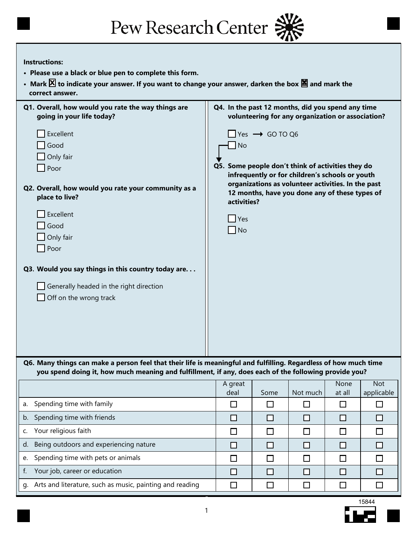| Pew Research Center |  |
|---------------------|--|
|---------------------|--|

## **Instructions:**

b. Spending time with friends

d. Being outdoors and experiencing nature

g. Arts and literature, such as music, painting and reading

e. Spending time with pets or animals

f. Your job, career or education

c. Your religious faith

- **Please use a black or blue pen to complete this form.**
- Mark  $\Xi$  to indicate your answer. If you want to change your answer, darken the box  $\Xi$  and mark the  **correct answer.**

| Q1. Overall, how would you rate the way things are<br>going in your life today?                                                                                                                                           | Q4. In the past 12 months, did you spend any time                                                 |                           | volunteering for any organization or association?                                                                                                       |                |                          |
|---------------------------------------------------------------------------------------------------------------------------------------------------------------------------------------------------------------------------|---------------------------------------------------------------------------------------------------|---------------------------|---------------------------------------------------------------------------------------------------------------------------------------------------------|----------------|--------------------------|
| Excellent<br>Good<br>Only fair<br>Poor<br>Q2. Overall, how would you rate your community as a<br>place to live?<br>Excellent<br>Good<br>Only fair<br>$\Box$ Poor<br>Q3. Would you say things in this country today are    | <b>No</b><br>Q5. Some people don't think of activities they do<br>activities?<br>Yes<br>$\Box$ No | $Yes \rightarrow GOTO Q6$ | infrequently or for children's schools or youth<br>organizations as volunteer activities. In the past<br>12 months, have you done any of these types of |                |                          |
| Generally headed in the right direction<br>Off on the wrong track                                                                                                                                                         |                                                                                                   |                           |                                                                                                                                                         |                |                          |
| Q6. Many things can make a person feel that their life is meaningful and fulfilling. Regardless of how much time<br>you spend doing it, how much meaning and fulfillment, if any, does each of the following provide you? |                                                                                                   |                           |                                                                                                                                                         |                |                          |
|                                                                                                                                                                                                                           | A great<br>deal                                                                                   | Some                      | Not much                                                                                                                                                | None<br>at all | <b>Not</b><br>applicable |
| a. Spending time with family                                                                                                                                                                                              | $\Box$                                                                                            | $\Box$                    | $\Box$                                                                                                                                                  | $\Box$         | П                        |



 $\Box$ 

 $\Box$ 

 $\Box$ 

 $\Box$ 

 $\Box$ 

 $\Box$ 

 $\Box$ 

 $\Box$ 

 $\Box$ 

 $\Box$ 

 $\Box$ 

 $\Box$ 

 $\Box$ 

 $\Box$ 

 $\Box$ 

 $\Box$ 

 $\Box$ 

 $\Box$ 

 $\Box$ 

 $\Box$ 

 $\Box$ 

 $\Box$ 

 $\Box$ 

 $\Box$ 

 $\Box$ 

 $\Box$ 

 $\Box$ 

 $\Box$ 

 $\Box$ 

 $\Box$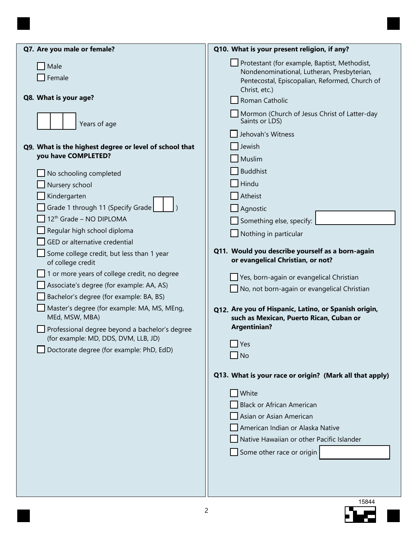| Q7. Are you male or female?                                    | Q10. What is your present religion, if any?                                                                                                                   |
|----------------------------------------------------------------|---------------------------------------------------------------------------------------------------------------------------------------------------------------|
| Male<br>Female                                                 | Protestant (for example, Baptist, Methodist,<br>Nondenominational, Lutheran, Presbyterian,<br>Pentecostal, Episcopalian, Reformed, Church of<br>Christ, etc.) |
| Q8. What is your age?                                          | Roman Catholic                                                                                                                                                |
| Years of age                                                   | Mormon (Church of Jesus Christ of Latter-day<br>Saints or LDS)                                                                                                |
|                                                                | Jehovah's Witness                                                                                                                                             |
| Q9. What is the highest degree or level of school that         | Jewish                                                                                                                                                        |
| you have COMPLETED?                                            | Muslim                                                                                                                                                        |
| No schooling completed                                         | Buddhist                                                                                                                                                      |
| Nursery school                                                 | $\overline{\phantom{a}}$ Hindu                                                                                                                                |
| Kindergarten                                                   | Atheist                                                                                                                                                       |
| Grade 1 through 11 (Specify Grade                              | Agnostic                                                                                                                                                      |
| 12 <sup>th</sup> Grade - NO DIPLOMA                            | Something else, specify:                                                                                                                                      |
| Regular high school diploma                                    | $\Box$ Nothing in particular                                                                                                                                  |
| GED or alternative credential                                  | Q11. Would you describe yourself as a born-again                                                                                                              |
| Some college credit, but less than 1 year<br>of college credit | or evangelical Christian, or not?                                                                                                                             |
| 1 or more years of college credit, no degree                   | Yes, born-again or evangelical Christian                                                                                                                      |
| Associate's degree (for example: AA, AS)                       | $\Box$ No, not born-again or evangelical Christian                                                                                                            |
| Bachelor's degree (for example: BA, BS)                        |                                                                                                                                                               |
| Master's degree (for example: MA, MS, MEng,<br>MEd, MSW, MBA)  | Q12. Are you of Hispanic, Latino, or Spanish origin,                                                                                                          |
| Professional degree beyond a bachelor's degree                 | such as Mexican, Puerto Rican, Cuban or<br><b>Argentinian?</b>                                                                                                |
| (for example: MD, DDS, DVM, LLB, JD)                           |                                                                                                                                                               |
| Doctorate degree (for example: PhD, EdD)                       | $\Box$ Yes                                                                                                                                                    |
|                                                                | $\Box$ No                                                                                                                                                     |
|                                                                | Q13. What is your race or origin? (Mark all that apply)                                                                                                       |
|                                                                | White                                                                                                                                                         |
|                                                                | <b>Black or African American</b>                                                                                                                              |
|                                                                | Asian or Asian American                                                                                                                                       |
|                                                                | American Indian or Alaska Native                                                                                                                              |
|                                                                | Native Hawaiian or other Pacific Islander                                                                                                                     |
|                                                                | Some other race or origin                                                                                                                                     |
|                                                                |                                                                                                                                                               |
|                                                                |                                                                                                                                                               |
|                                                                |                                                                                                                                                               |

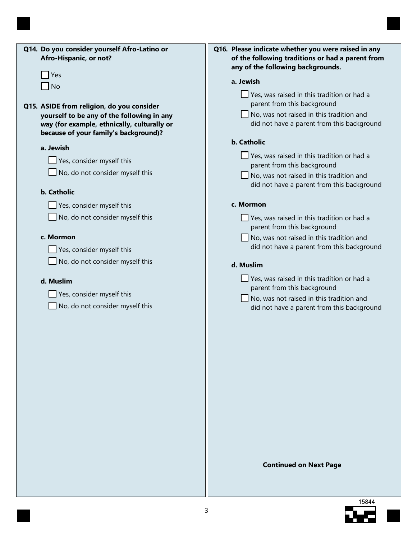| Q14. Do you consider yourself Afro-Latino or<br>Afro-Hispanic, or not? | Q16. Please indicate whether you were raised in any<br>of the following traditions or had a parent from<br>any of the following backgrounds. |
|------------------------------------------------------------------------|----------------------------------------------------------------------------------------------------------------------------------------------|
| Yes                                                                    |                                                                                                                                              |
| No                                                                     | a. Jewish                                                                                                                                    |
|                                                                        | $\Box$ Yes, was raised in this tradition or had a                                                                                            |
| Q15. ASIDE from religion, do you consider                              | parent from this background                                                                                                                  |
| yourself to be any of the following in any                             | $\Box$ No, was not raised in this tradition and                                                                                              |
| way (for example, ethnically, culturally or                            | did not have a parent from this background                                                                                                   |
| because of your family's background)?                                  |                                                                                                                                              |
|                                                                        | <b>b.</b> Catholic                                                                                                                           |
| a. Jewish                                                              |                                                                                                                                              |
| Yes, consider myself this                                              | $\Box$ Yes, was raised in this tradition or had a                                                                                            |
| No, do not consider myself this                                        | parent from this background                                                                                                                  |
|                                                                        | $\Box$ No, was not raised in this tradition and                                                                                              |
| <b>b.</b> Catholic                                                     | did not have a parent from this background                                                                                                   |
|                                                                        |                                                                                                                                              |
| Yes, consider myself this                                              | c. Mormon                                                                                                                                    |
| No, do not consider myself this                                        | Yes, was raised in this tradition or had a<br>parent from this background                                                                    |
| c. Mormon                                                              | $\Box$ No, was not raised in this tradition and                                                                                              |
| Yes, consider myself this                                              | did not have a parent from this background                                                                                                   |
| No, do not consider myself this                                        | d. Muslim                                                                                                                                    |
| d. Muslim                                                              | $\Box$ Yes, was raised in this tradition or had a                                                                                            |
| Yes, consider myself this                                              | parent from this background<br>$\Box$ No, was not raised in this tradition and                                                               |
| No, do not consider myself this                                        | did not have a parent from this background                                                                                                   |
|                                                                        |                                                                                                                                              |
|                                                                        |                                                                                                                                              |
|                                                                        |                                                                                                                                              |
|                                                                        |                                                                                                                                              |
|                                                                        |                                                                                                                                              |
|                                                                        |                                                                                                                                              |
|                                                                        |                                                                                                                                              |
|                                                                        |                                                                                                                                              |
|                                                                        |                                                                                                                                              |
|                                                                        |                                                                                                                                              |
|                                                                        |                                                                                                                                              |

**Continued on Next Page**